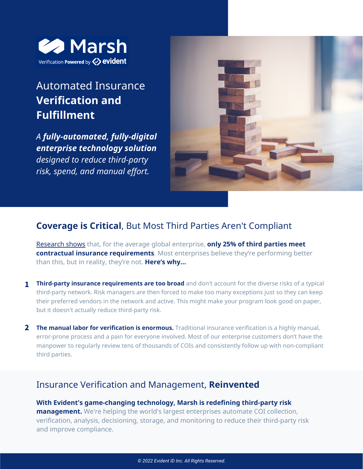

# Automated Insurance **Verification and Fulfillment**

*A fully-automated, fully-digital enterprise technology solution designed to reduce third-party risk, spend, and manual effort.*



# **Coverage is Critical**, But Most Third Parties Aren't Compliant

[Research](https://www.evidentid.com/resources/the-state-of-third-party-insurance-verification-research-report/) shows that, for the average global enterprise, **only 25% of third parties meet contractual insurance requirements**. Most enterprises believe they're performing better than this, but in reality, they're not. **Here's why...**

- **Third-party insurance requirements are too broad** and don't account for the diverse risks of a typical 1 third-party network. Risk managers are then forced to make too many exceptions just so they can keep their preferred vendors in the network and active. This might make your program look good on paper, but it doesn't actually reduce third-party risk.
- **The manual labor for verification is enormous.** Traditional insurance verification is a highly manual, 2 error-prone process and a pain for everyone involved. Most of our enterprise customers don't have the manpower to regularly review tens of thousands of COIs and consistently follow up with non-compliant third parties.

## Insurance Verification and Management, **Reinvented**

**With Evident's game-changing technology, Marsh is redefining third-party risk management.** We're helping the world's largest enterprises automate COI collection, verification, analysis, decisioning, storage, and monitoring to reduce their third-party risk and improve compliance.